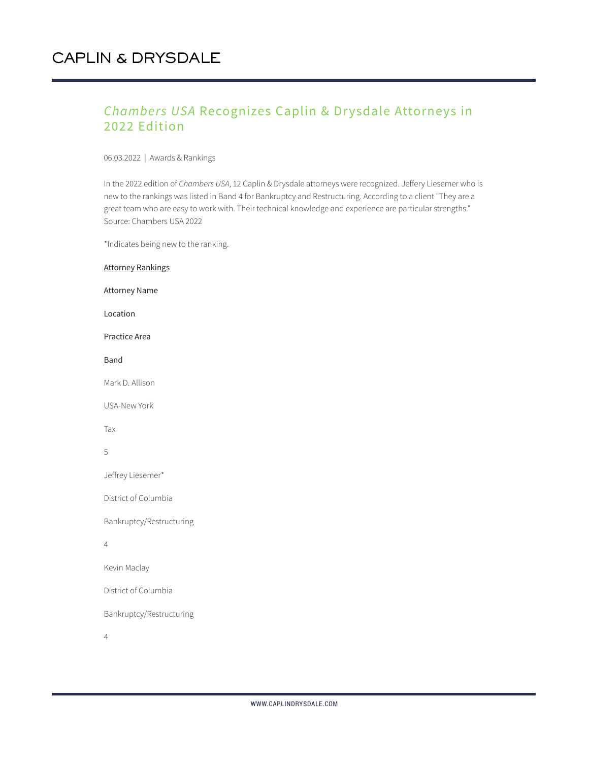### *Chambers USA* Recognizes Caplin & Drysdale Attorneys in 2022 Edition

06.03.2022 | Awards & Rankings

In the 2022 edition of *Chambers USA*, 12 Caplin & Drysdale attorneys were recognized. Jeffery Liesemer who is new to the rankings was listed in Band 4 for Bankruptcy and Restructuring. According to a client "They are a great team who are easy to work with. Their technical knowledge and experience are particular strengths." Source: Chambers USA 2022

\*Indicates being new to the ranking.

| <b>Attorney Rankings</b> |
|--------------------------|
| <b>Attorney Name</b>     |
| Location                 |
| Practice Area            |
| Band                     |
| Mark D. Allison          |
| <b>USA-New York</b>      |
| Tax                      |
| 5                        |
| Jeffrey Liesemer*        |
| District of Columbia     |
| Bankruptcy/Restructuring |
| 4                        |
| Kevin Maclay             |
| District of Columbia     |
| Bankruptcy/Restructuring |
| 4                        |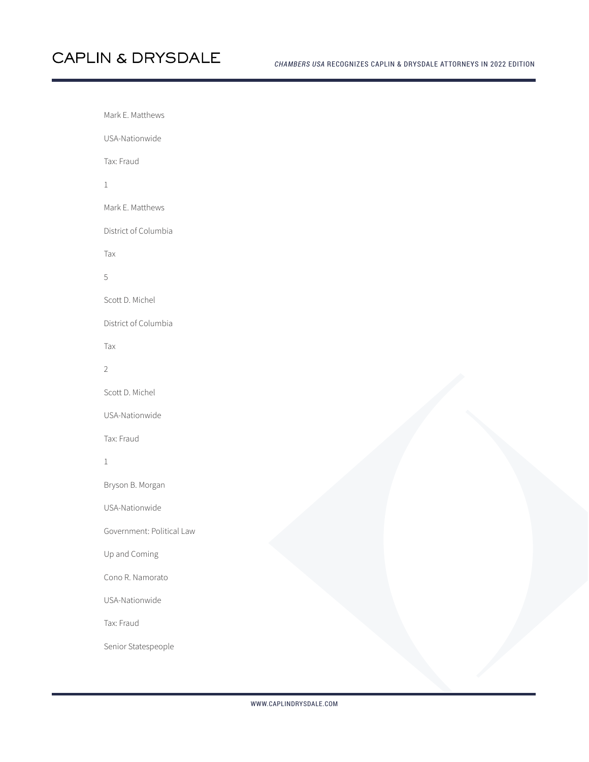Mark E. Matthews USA-Nationwide Tax: Fraud 1 Mark E. Matthews District of Columbia Tax 5 Scott D. Michel District of Columbia Tax 2 Scott D. Michel USA-Nationwide Tax: Fraud 1 Bryson B. Morgan USA-Nationwide Government: Political Law Up and Coming Cono R. Namorato USA-Nationwide Tax: Fraud Senior Statespeople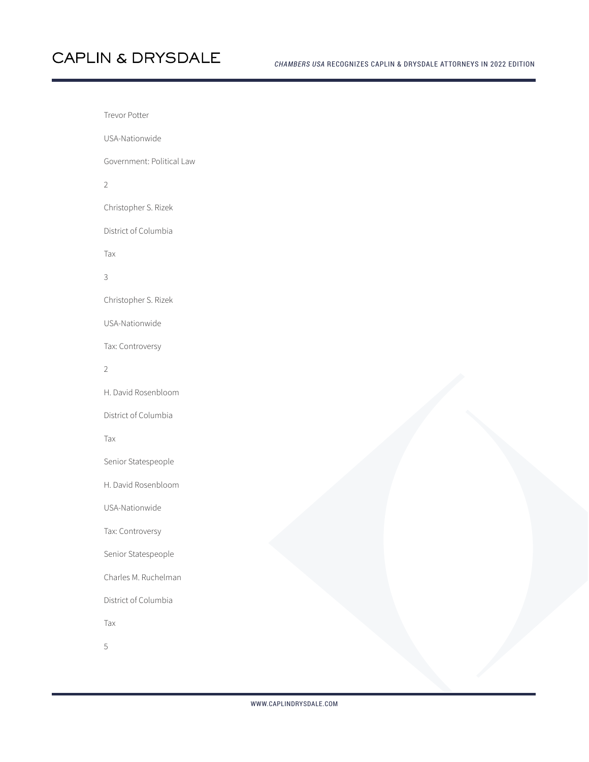# **CAPLIN & DRYSDALE**

Trevor Potter

USA-Nationwide

Government: Political Law

2

Christopher S. Rizek

District of Columbia

Tax

3

Christopher S. Rizek

USA-Nationwide

Tax: Controversy

2

H. David Rosenbloom

District of Columbia

Tax

Senior Statespeople

H. David Rosenbloom

USA-Nationwide

Tax: Controversy

Senior Statespeople

Charles M. Ruchelman

District of Columbia

Tax

5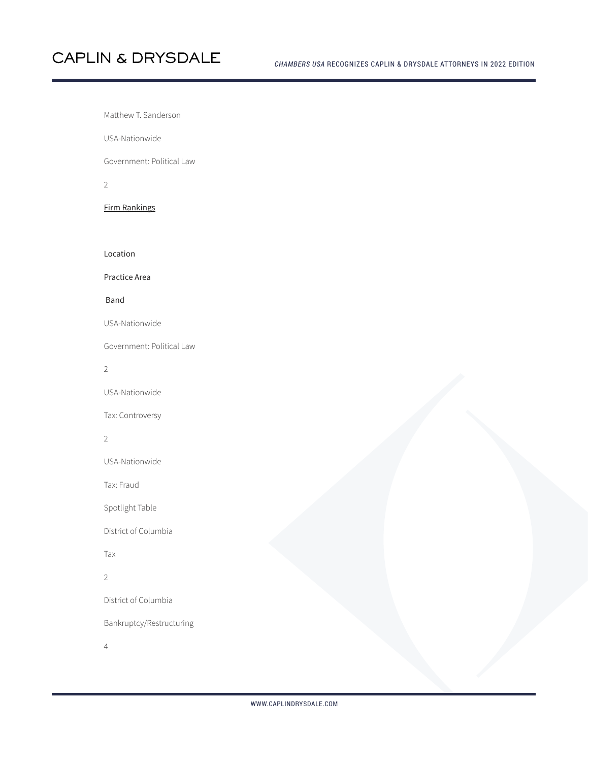# **CAPLIN & DRYSDALE**

Matthew T. Sanderson

USA-Nationwide

Government: Political Law

2

Firm Rankings

Location

Practice Area

Band

USA-Nationwide

Government: Political Law

2

USA-Nationwide

Tax: Controversy

#### 2

USA-Nationwide

Tax: Fraud

Spotlight Table

District of Columbia

Tax

#### 2

District of Columbia

Bankruptcy/Restructuring

4